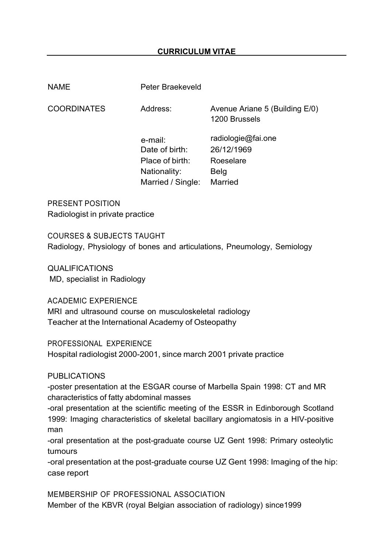## **CURRICULUM VITAE**

NAME Peter Braekeveld

COORDINATES

Avenue Ariane 5 (Building E/0) 1200 Brussels

 e-mail: Date of birth: 26/12/1969 Place of birth: Roeselare Nationality: Belg Married / Single: Married

Address:

radiologie@fai.one

PRESENT POSITION Radiologist in private practice

COURSES & SUBJECTS TAUGHT Radiology, Physiology of bones and articulations, Pneumology, Semiology

QUALIFICATIONS MD, specialist in Radiology

ACADEMIC EXPERIENCE MRI and ultrasound course on musculoskeletal radiology Teacher at the International Academy of Osteopathy

PROFESSIONAL EXPERIENCE Hospital radiologist 2000-2001, since march 2001 private practice

PUBLICATIONS

-poster presentation at the ESGAR course of Marbella Spain 1998: CT and MR characteristics of fatty abdominal masses

-oral presentation at the scientific meeting of the ESSR in Edinborough Scotland 1999: Imaging characteristics of skeletal bacillary angiomatosis in a HIV-positive man

-oral presentation at the post-graduate course UZ Gent 1998: Primary osteolytic tumours

-oral presentation at the post-graduate course UZ Gent 1998: Imaging of the hip: case report

MEMBERSHIP OF PROFESSIONAL ASSOCIATION Member of the KBVR (royal Belgian association of radiology) since1999